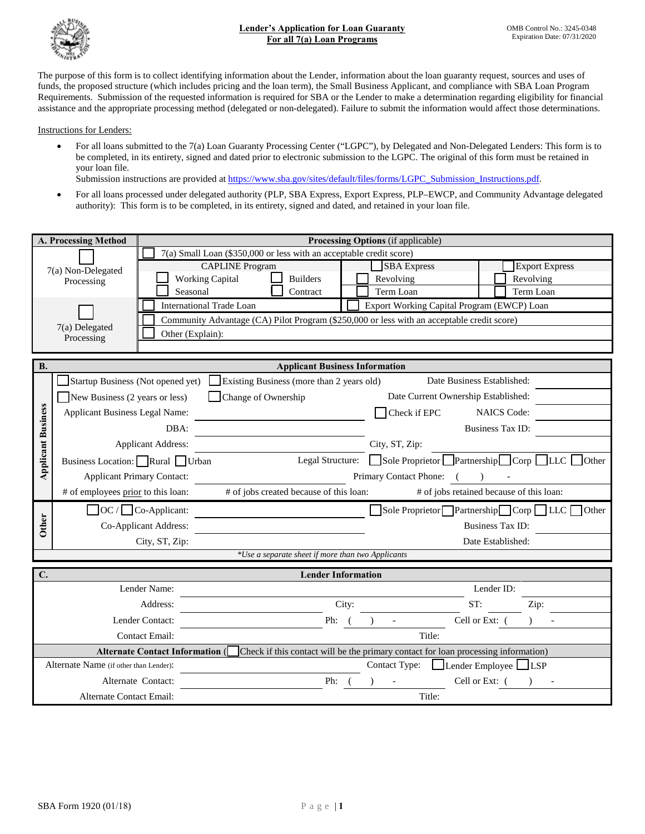

The purpose of this form is to collect identifying information about the Lender, information about the loan guaranty request, sources and uses of funds, the proposed structure (which includes pricing and the loan term), the Small Business Applicant, and compliance with SBA Loan Program Requirements. Submission of the requested information is required for SBA or the Lender to make a determination regarding eligibility for financial assistance and the appropriate processing method (delegated or non-delegated). Failure to submit the information would affect those determinations.

Instructions for Lenders:

• For all loans submitted to the 7(a) Loan Guaranty Processing Center ("LGPC"), by Delegated and Non-Delegated Lenders: This form is to be completed, in its entirety, signed and dated prior to electronic submission to the LGPC. The original of this form must be retained in your loan file.

Submission instructions are provided at [https://www.sba.gov/sites/default/files/forms/LGPC\\_Submission\\_Instructions.pdf.](https://www.sba.gov/sites/default/files/forms/LGPC_Submission_Instructions.pdf)

• For all loans processed under delegated authority (PLP, SBA Express, Export Express, PLP–EWCP, and Community Advantage delegated authority): This form is to be completed, in its entirety, signed and dated, and retained in your loan file.

|                           | A. Processing Method                   |                                                                                                                           |                                                                     |                                                   |       | Processing Options (if applicable)                                                         |                                          |                         |           |                                            |
|---------------------------|----------------------------------------|---------------------------------------------------------------------------------------------------------------------------|---------------------------------------------------------------------|---------------------------------------------------|-------|--------------------------------------------------------------------------------------------|------------------------------------------|-------------------------|-----------|--------------------------------------------|
|                           |                                        |                                                                                                                           | 7(a) Small Loan (\$350,000 or less with an acceptable credit score) |                                                   |       |                                                                                            |                                          |                         |           |                                            |
|                           | 7(a) Non-Delegated                     |                                                                                                                           | <b>CAPLINE Program</b>                                              |                                                   |       | <b>SBA</b> Express                                                                         |                                          |                         |           | <b>Export Express</b>                      |
|                           | Processing                             | <b>Working Capital</b>                                                                                                    |                                                                     | <b>Builders</b>                                   |       | Revolving                                                                                  |                                          |                         | Revolving |                                            |
|                           |                                        | Seasonal                                                                                                                  |                                                                     | Contract                                          |       | Term Loan                                                                                  |                                          |                         | Term Loan |                                            |
|                           |                                        | International Trade Loan                                                                                                  |                                                                     |                                                   |       | Export Working Capital Program (EWCP) Loan                                                 |                                          |                         |           |                                            |
|                           | 7(a) Delegated                         |                                                                                                                           |                                                                     |                                                   |       | Community Advantage (CA) Pilot Program (\$250,000 or less with an acceptable credit score) |                                          |                         |           |                                            |
|                           | Processing                             | Other (Explain):                                                                                                          |                                                                     |                                                   |       |                                                                                            |                                          |                         |           |                                            |
|                           |                                        |                                                                                                                           |                                                                     |                                                   |       |                                                                                            |                                          |                         |           |                                            |
| <b>B.</b>                 |                                        |                                                                                                                           |                                                                     | <b>Applicant Business Information</b>             |       |                                                                                            |                                          |                         |           |                                            |
|                           |                                        | Startup Business (Not opened yet) Existing Business (more than 2 years old)                                               |                                                                     |                                                   |       |                                                                                            | Date Business Established:               |                         |           |                                            |
|                           | New Business (2 years or less)         |                                                                                                                           | Change of Ownership                                                 |                                                   |       |                                                                                            | Date Current Ownership Established:      |                         |           |                                            |
|                           | <b>Applicant Business Legal Name:</b>  |                                                                                                                           |                                                                     |                                                   |       | Check if EPC                                                                               |                                          | <b>NAICS Code:</b>      |           |                                            |
|                           |                                        | DBA:                                                                                                                      |                                                                     |                                                   |       |                                                                                            |                                          | Business Tax ID:        |           |                                            |
| <b>Applicant Business</b> | <b>Applicant Address:</b>              |                                                                                                                           |                                                                     |                                                   |       | City, ST, Zip:                                                                             |                                          |                         |           |                                            |
|                           | Business Location: Rural Urban         |                                                                                                                           | Legal Structure: Sole Proprietor Partnership Corp LLC<br>Other      |                                                   |       |                                                                                            |                                          |                         |           |                                            |
|                           | <b>Applicant Primary Contact:</b>      |                                                                                                                           | Primary Contact Phone: (<br>$\rightarrow$                           |                                                   |       |                                                                                            |                                          |                         |           |                                            |
|                           | # of employees prior to this loan:     |                                                                                                                           | # of jobs created because of this loan:                             |                                                   |       |                                                                                            | # of jobs retained because of this loan: |                         |           |                                            |
|                           |                                        | $\Box$ OC / $\Box$ Co-Applicant:                                                                                          |                                                                     |                                                   |       |                                                                                            |                                          |                         |           | Sole Proprietor Partnership Corp LLC Other |
| <b>Other</b>              |                                        | Co-Applicant Address:                                                                                                     |                                                                     |                                                   |       |                                                                                            |                                          | <b>Business Tax ID:</b> |           |                                            |
|                           |                                        | City, ST, Zip:                                                                                                            |                                                                     |                                                   |       |                                                                                            |                                          | Date Established:       |           |                                            |
|                           |                                        |                                                                                                                           |                                                                     | *Use a separate sheet if more than two Applicants |       |                                                                                            |                                          |                         |           |                                            |
| $\mathbf{C}$              |                                        |                                                                                                                           |                                                                     | <b>Lender Information</b>                         |       |                                                                                            |                                          |                         |           |                                            |
|                           |                                        | Lender Name:                                                                                                              |                                                                     |                                                   |       |                                                                                            |                                          | Lender ID:              |           |                                            |
|                           |                                        | Address:                                                                                                                  |                                                                     |                                                   | City: |                                                                                            | ST:                                      |                         | Zip:      |                                            |
|                           |                                        | Lender Contact:                                                                                                           |                                                                     | Ph: $($                                           |       |                                                                                            |                                          | Cell or Ext: (          |           |                                            |
|                           |                                        | <b>Contact Email:</b>                                                                                                     |                                                                     |                                                   |       | Title:                                                                                     |                                          |                         |           |                                            |
|                           |                                        | Alternate Contact Information ( $\Box$ Check if this contact will be the primary contact for loan processing information) |                                                                     |                                                   |       |                                                                                            |                                          |                         |           |                                            |
|                           | Alternate Name (if other than Lender): |                                                                                                                           |                                                                     |                                                   |       | Contact Type: <u>Lender Employee</u> LESP                                                  |                                          |                         |           |                                            |
|                           |                                        | Alternate Contact:                                                                                                        |                                                                     | Ph:                                               |       |                                                                                            |                                          | Cell or Ext: (          |           |                                            |
|                           | Alternate Contact Email:               |                                                                                                                           |                                                                     |                                                   |       | Title:                                                                                     |                                          |                         |           |                                            |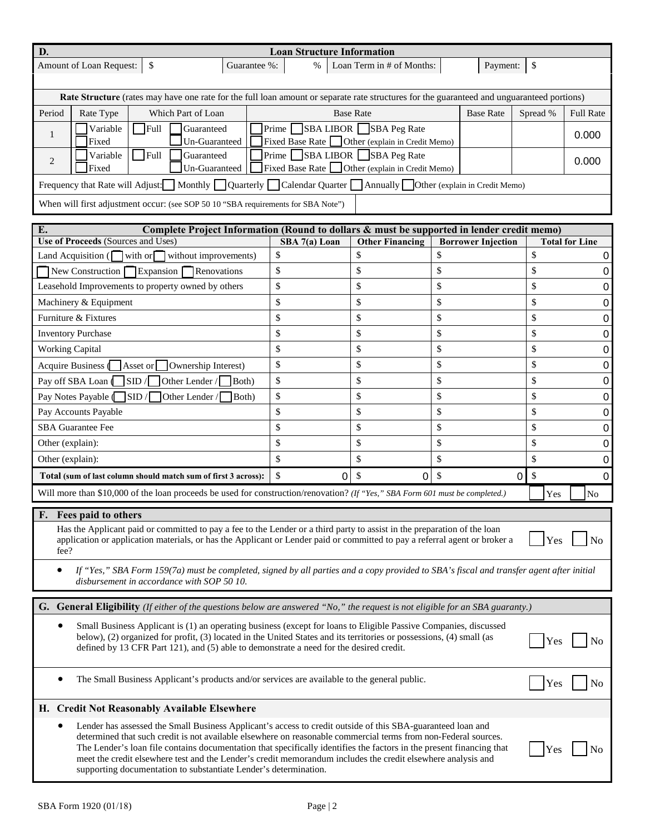| D.                                                                                                                                                                                                                                                                                                                                                                                                                                         | <b>Loan Structure Information</b>                                                          |                           |                           |            |                       |
|--------------------------------------------------------------------------------------------------------------------------------------------------------------------------------------------------------------------------------------------------------------------------------------------------------------------------------------------------------------------------------------------------------------------------------------------|--------------------------------------------------------------------------------------------|---------------------------|---------------------------|------------|-----------------------|
| Amount of Loan Request:<br>\$<br>Guarantee %:                                                                                                                                                                                                                                                                                                                                                                                              | $\%$                                                                                       | Loan Term in # of Months: | Payment:                  | \$         |                       |
| Rate Structure (rates may have one rate for the full loan amount or separate rate structures for the guaranteed and unguaranteed portions)                                                                                                                                                                                                                                                                                                 |                                                                                            |                           |                           |            |                       |
| Period<br>Rate Type<br>Which Part of Loan                                                                                                                                                                                                                                                                                                                                                                                                  |                                                                                            | <b>Base Rate</b>          | <b>Base Rate</b>          | Spread %   | <b>Full Rate</b>      |
| Guaranteed<br>Variable<br>$\Box$ Full<br>1                                                                                                                                                                                                                                                                                                                                                                                                 | Prime SBA LIBOR SBA Peg Rate                                                               |                           |                           |            | 0.000                 |
| Un-Guaranteed<br>Fixed<br>$\Gamma$ Full<br>Variable<br>Guaranteed                                                                                                                                                                                                                                                                                                                                                                          | Fixed Base Rate Other (explain in Credit Memo)<br>$\Gamma$ $\Gamma$ SBA LIBOR SBA Peg Rate |                           |                           |            |                       |
| 2<br>Un-Guaranteed<br>Fixed                                                                                                                                                                                                                                                                                                                                                                                                                | Fixed Base Rate Other (explain in Credit Memo)                                             |                           |                           |            | 0.000                 |
| Frequency that Rate will Adjust: Monthly Quarterly Calendar Quarter Annually Other (explain in Credit Memo)                                                                                                                                                                                                                                                                                                                                |                                                                                            |                           |                           |            |                       |
| When will first adjustment occur: (see SOP 50 10 "SBA requirements for SBA Note")                                                                                                                                                                                                                                                                                                                                                          |                                                                                            |                           |                           |            |                       |
| Complete Project Information (Round to dollars & must be supported in lender credit memo)<br>E.                                                                                                                                                                                                                                                                                                                                            |                                                                                            |                           |                           |            |                       |
| Use of Proceeds (Sources and Uses)                                                                                                                                                                                                                                                                                                                                                                                                         | SBA 7(a) Loan                                                                              | <b>Other Financing</b>    | <b>Borrower Injection</b> |            | <b>Total for Line</b> |
| Land Acquisition ( $\Box$ with or $\Box$ without improvements)                                                                                                                                                                                                                                                                                                                                                                             | \$                                                                                         | \$                        | \$                        | \$         | 0                     |
| New Construction Expansion<br><b>Renovations</b>                                                                                                                                                                                                                                                                                                                                                                                           | \$                                                                                         | \$                        | \$                        | \$         | 0                     |
| Leasehold Improvements to property owned by others                                                                                                                                                                                                                                                                                                                                                                                         | \$                                                                                         | \$                        | \$                        | \$         | 0                     |
| Machinery & Equipment                                                                                                                                                                                                                                                                                                                                                                                                                      | \$                                                                                         | \$                        | \$                        | \$         | 0                     |
| Furniture & Fixtures                                                                                                                                                                                                                                                                                                                                                                                                                       | \$                                                                                         | \$                        | \$                        | \$         | 0                     |
| <b>Inventory Purchase</b>                                                                                                                                                                                                                                                                                                                                                                                                                  | \$                                                                                         | \$                        | \$                        | \$         | 0                     |
| <b>Working Capital</b>                                                                                                                                                                                                                                                                                                                                                                                                                     | \$                                                                                         | \$                        | \$                        | \$         | 0                     |
| Acquire Business (<br>Asset or<br>Ownership Interest)                                                                                                                                                                                                                                                                                                                                                                                      | \$                                                                                         | \$                        | \$                        | \$         | 0                     |
| $\vert$ SID/ $\vert$<br>Pay off SBA Loan<br>Other Lender /<br>Both)                                                                                                                                                                                                                                                                                                                                                                        | \$<br>\$                                                                                   | \$<br>\$                  | \$<br>\$                  | \$<br>\$   | 0                     |
| $\overline{\text{SID}}$ /<br>Pay Notes Payable (<br>Both)<br>Other Lender /<br>Pay Accounts Payable                                                                                                                                                                                                                                                                                                                                        | \$                                                                                         | \$                        | \$                        | \$         | 0<br>0                |
| <b>SBA</b> Guarantee Fee                                                                                                                                                                                                                                                                                                                                                                                                                   | \$                                                                                         | \$                        | \$                        | \$         | 0                     |
| Other (explain):                                                                                                                                                                                                                                                                                                                                                                                                                           | \$                                                                                         | \$                        | \$                        | \$         | 0                     |
| Other (explain):                                                                                                                                                                                                                                                                                                                                                                                                                           | \$                                                                                         | \$                        | \$                        | \$         | 0                     |
| Total (sum of last column should match sum of first 3 across):                                                                                                                                                                                                                                                                                                                                                                             | \$<br>0                                                                                    | \$<br>0                   | \$                        | \$<br>0    | 0                     |
| Will more than \$10,000 of the loan proceeds be used for construction/renovation? (If "Yes," SBA Form 601 must be completed.)                                                                                                                                                                                                                                                                                                              |                                                                                            |                           |                           | Yes        | $\rm No$              |
| Fees paid to others<br>F.                                                                                                                                                                                                                                                                                                                                                                                                                  |                                                                                            |                           |                           |            |                       |
| Has the Applicant paid or committed to pay a fee to the Lender or a third party to assist in the preparation of the loan<br>application or application materials, or has the Applicant or Lender paid or committed to pay a referral agent or broker a<br>fee?                                                                                                                                                                             |                                                                                            |                           |                           | Yes        | N <sub>o</sub>        |
| If "Yes," SBA Form 159(7a) must be completed, signed by all parties and a copy provided to SBA's fiscal and transfer agent after initial<br>disbursement in accordance with SOP 50 10.                                                                                                                                                                                                                                                     |                                                                                            |                           |                           |            |                       |
| <b>G.</b> General Eligibility (If either of the questions below are answered "No," the request is not eligible for an SBA guaranty.)                                                                                                                                                                                                                                                                                                       |                                                                                            |                           |                           |            |                       |
| Small Business Applicant is (1) an operating business (except for loans to Eligible Passive Companies, discussed<br>below), (2) organized for profit, (3) located in the United States and its territories or possessions, (4) small (as<br>Yes<br>No<br>defined by 13 CFR Part 121), and (5) able to demonstrate a need for the desired credit.                                                                                           |                                                                                            |                           |                           |            |                       |
| The Small Business Applicant's products and/or services are available to the general public.                                                                                                                                                                                                                                                                                                                                               |                                                                                            |                           |                           | Yes        | No                    |
| H. Credit Not Reasonably Available Elsewhere                                                                                                                                                                                                                                                                                                                                                                                               |                                                                                            |                           |                           |            |                       |
| Lender has assessed the Small Business Applicant's access to credit outside of this SBA-guaranteed loan and<br>determined that such credit is not available elsewhere on reasonable commercial terms from non-Federal sources.<br>The Lender's loan file contains documentation that specifically identifies the factors in the present financing that<br>evolit elegation to the London's gradit mamorandum includes the gradit elegation |                                                                                            |                           |                           | <b>Yes</b> | No                    |

meet the credit elsewhere test and the Lender's credit memorandum includes the credit elsewhere analysis and

supporting documentation to substantiate Lender's determination.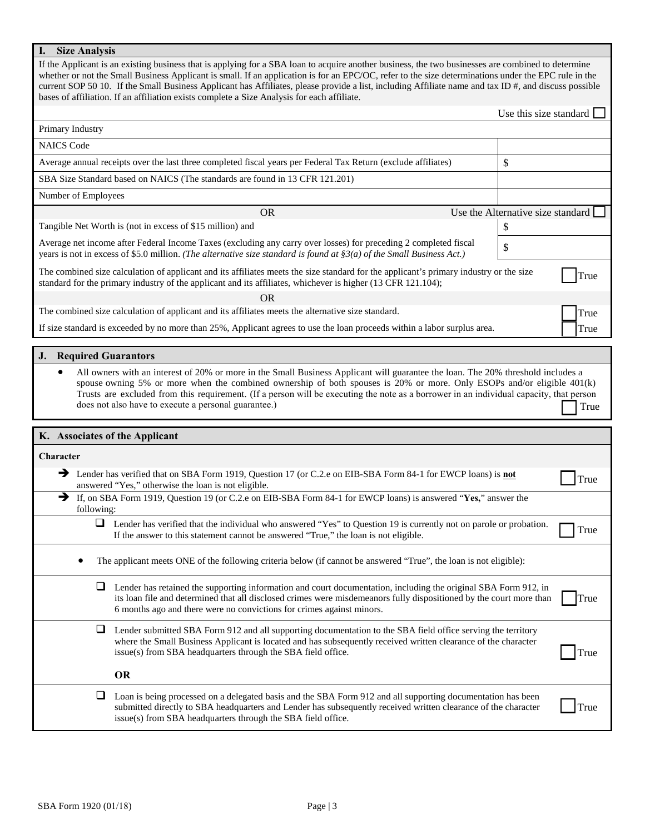# **I. Size Analysis**

If the Applicant is an existing business that is applying for a SBA loan to acquire another business, the two businesses are combined to determine whether or not the Small Business Applicant is small. If an application is for an EPC/OC, refer to the size determinations under the EPC rule in the current SOP 50 10. If the Small Business Applicant has Affiliates, please provide a list, including Affiliate name and tax ID #, and discuss possible bases of affiliation. If an affiliation exists complete a Size Analysis for each affiliate.

|                                |                                                                                                                                                                                                                                                                                                                                                                                                                                                               | Use this size standard            |
|--------------------------------|---------------------------------------------------------------------------------------------------------------------------------------------------------------------------------------------------------------------------------------------------------------------------------------------------------------------------------------------------------------------------------------------------------------------------------------------------------------|-----------------------------------|
| Primary Industry               |                                                                                                                                                                                                                                                                                                                                                                                                                                                               |                                   |
| <b>NAICS Code</b>              |                                                                                                                                                                                                                                                                                                                                                                                                                                                               |                                   |
|                                | Average annual receipts over the last three completed fiscal years per Federal Tax Return (exclude affiliates)                                                                                                                                                                                                                                                                                                                                                | \$                                |
|                                | SBA Size Standard based on NAICS (The standards are found in 13 CFR 121.201)                                                                                                                                                                                                                                                                                                                                                                                  |                                   |
| Number of Employees            |                                                                                                                                                                                                                                                                                                                                                                                                                                                               |                                   |
|                                | <b>OR</b>                                                                                                                                                                                                                                                                                                                                                                                                                                                     | Use the Alternative size standard |
|                                | Tangible Net Worth is (not in excess of \$15 million) and                                                                                                                                                                                                                                                                                                                                                                                                     | \$                                |
|                                | Average net income after Federal Income Taxes (excluding any carry over losses) for preceding 2 completed fiscal<br>years is not in excess of \$5.0 million. (The alternative size standard is found at $\S3(a)$ of the Small Business Act.)                                                                                                                                                                                                                  | \$                                |
|                                | The combined size calculation of applicant and its affiliates meets the size standard for the applicant's primary industry or the size<br>standard for the primary industry of the applicant and its affiliates, whichever is higher (13 CFR 121.104);                                                                                                                                                                                                        | True                              |
|                                | OR                                                                                                                                                                                                                                                                                                                                                                                                                                                            |                                   |
|                                | The combined size calculation of applicant and its affiliates meets the alternative size standard.                                                                                                                                                                                                                                                                                                                                                            | True                              |
|                                | If size standard is exceeded by no more than 25%, Applicant agrees to use the loan proceeds within a labor surplus area.                                                                                                                                                                                                                                                                                                                                      | True                              |
| <b>J.</b> Required Guarantors  |                                                                                                                                                                                                                                                                                                                                                                                                                                                               |                                   |
| $\bullet$                      | All owners with an interest of 20% or more in the Small Business Applicant will guarantee the loan. The 20% threshold includes a<br>spouse owning 5% or more when the combined ownership of both spouses is 20% or more. Only ESOPs and/or eligible 401(k)<br>Trusts are excluded from this requirement. (If a person will be executing the note as a borrower in an individual capacity, that person<br>does not also have to execute a personal guarantee.) | True                              |
| K. Associates of the Applicant |                                                                                                                                                                                                                                                                                                                                                                                                                                                               |                                   |
| <b>Character</b>               |                                                                                                                                                                                                                                                                                                                                                                                                                                                               |                                   |
| →                              | Lender has verified that on SBA Form 1919, Question 17 (or C.2.e on EIB-SBA Form 84-1 for EWCP loans) is not<br>answered "Yes," otherwise the loan is not eligible.                                                                                                                                                                                                                                                                                           | True                              |
| $\rightarrow$<br>following:    | If, on SBA Form 1919, Question 19 (or C.2.e on EIB-SBA Form 84-1 for EWCP loans) is answered "Yes," answer the                                                                                                                                                                                                                                                                                                                                                |                                   |
| ⊔                              | Lender has verified that the individual who answered "Yes" to Question 19 is currently not on parole or probation.<br>If the answer to this statement cannot be answered "True," the loan is not eligible.                                                                                                                                                                                                                                                    | True                              |
|                                | The applicant meets ONE of the following criteria below (if cannot be answered "True", the loan is not eligible):                                                                                                                                                                                                                                                                                                                                             |                                   |
|                                | Lender has retained the supporting information and court documentation, including the original SBA Form 912, in<br>its loan file and determined that all disclosed crimes were misdemeanors fully dispositioned by the court more than<br>6 months ago and there were no convictions for crimes against minors.                                                                                                                                               | True                              |
| ⊔                              | Lender submitted SBA Form 912 and all supporting documentation to the SBA field office serving the territory<br>where the Small Business Applicant is located and has subsequently received written clearance of the character<br>issue(s) from SBA headquarters through the SBA field office.                                                                                                                                                                | True                              |
|                                |                                                                                                                                                                                                                                                                                                                                                                                                                                                               |                                   |
|                                | <b>OR</b>                                                                                                                                                                                                                                                                                                                                                                                                                                                     |                                   |

 Loan is being processed on a delegated basis and the SBA Form 912 and all supporting documentation has been submitted directly to SBA headquarters and Lender has subsequently received written clearance of the character issue(s) from SBA headquarters through the SBA field office.

**True**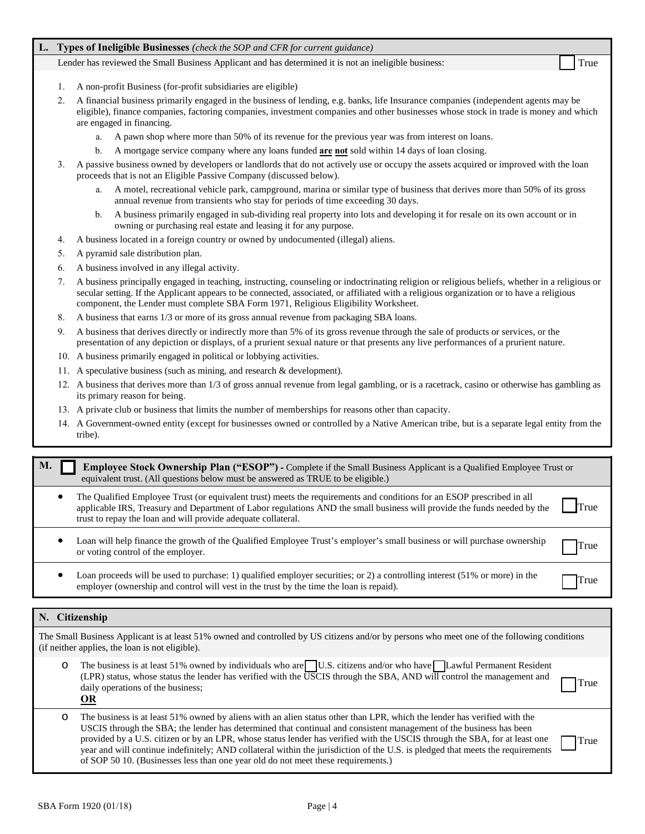## **L. Types of Ineligible Businesses** *(check the SOP and CFR for current guidance)*

Lender has reviewed the Small Business Applicant and has determined it is not an ineligible business:

- 1. A non-profit Business (for-profit subsidiaries are eligible)
- 2. A financial business primarily engaged in the business of lending, e.g. banks, life Insurance companies (independent agents may be eligible), finance companies, factoring companies, investment companies and other businesses whose stock in trade is money and which are engaged in financing.
	- a. A pawn shop where more than 50% of its revenue for the previous year was from interest on loans.
	- b. A mortgage service company where any loans funded **are not** sold within 14 days of loan closing.
- 3. A passive business owned by developers or landlords that do not actively use or occupy the assets acquired or improved with the loan proceeds that is not an Eligible Passive Company (discussed below).
	- a. A motel, recreational vehicle park, campground, marina or similar type of business that derives more than 50% of its gross annual revenue from transients who stay for periods of time exceeding 30 days.
	- b. A business primarily engaged in sub-dividing real property into lots and developing it for resale on its own account or in owning or purchasing real estate and leasing it for any purpose.
- 4. A business located in a foreign country or owned by undocumented (illegal) aliens.
- 5. A pyramid sale distribution plan.
- 6. A business involved in any illegal activity.
- 7. A business principally engaged in teaching, instructing, counseling or indoctrinating religion or religious beliefs, whether in a religious or secular setting. If the Applicant appears to be connected, associated, or affiliated with a religious organization or to have a religious component, the Lender must complete SBA Form 1971, Religious Eligibility Worksheet.
- 8. A business that earns 1/3 or more of its gross annual revenue from packaging SBA loans.
- 9. A business that derives directly or indirectly more than 5% of its gross revenue through the sale of products or services, or the presentation of any depiction or displays, of a prurient sexual nature or that presents any live performances of a prurient nature.
- 10. A business primarily engaged in political or lobbying activities.
- 11. A speculative business (such as mining, and research & development).
- 12. A business that derives more than 1/3 of gross annual revenue from legal gambling, or is a racetrack, casino or otherwise has gambling as its primary reason for being.
- 13. A private club or business that limits the number of memberships for reasons other than capacity.
- 14. A Government-owned entity (except for businesses owned or controlled by a Native American tribe, but is a separate legal entity from the tribe).

| М. | <b>Employee Stock Ownership Plan ("ESOP")</b> - Complete if the Small Business Applicant is a Qualified Employee Trust or<br>equivalent trust. (All questions below must be answered as TRUE to be eligible.)                                                                                                       |      |
|----|---------------------------------------------------------------------------------------------------------------------------------------------------------------------------------------------------------------------------------------------------------------------------------------------------------------------|------|
|    | The Qualified Employee Trust (or equivalent trust) meets the requirements and conditions for an ESOP prescribed in all<br>applicable IRS, Treasury and Department of Labor regulations AND the small business will provide the funds needed by the<br>trust to repay the loan and will provide adequate collateral. | True |
|    | Loan will help finance the growth of the Qualified Employee Trust's employer's small business or will purchase ownership<br>or voting control of the employer.                                                                                                                                                      | True |
|    | oan proceeds will be used to purchase: 1) qualified employer securities: or 2) a controlling interest (51% or more) in the                                                                                                                                                                                          |      |

• Loan proceeds will be used to purchase: 1) qualified employer securities; or 2) a controlling interest (51% or more) in the Examployer (ownership and control will vest in the trust by the time the loan is repaid). True

### **N. Citizenship**

The Small Business Applicant is at least 51% owned and controlled by US citizens and/or by persons who meet one of the following conditions (if neither applies, the loan is not eligible).

| The business is at least 51% owned by individuals who are U.S. citizens and/or who have Lawful Permanent Resident      |  |
|------------------------------------------------------------------------------------------------------------------------|--|
| (LPR) status, whose status the lender has verified with the USCIS through the SBA, AND will control the management and |  |
| daily operations of the business:                                                                                      |  |
| OR                                                                                                                     |  |

| O | The business is at least 51% owned by aliens with an alien status other than LPR, which the lender has verified with the       |             |
|---|--------------------------------------------------------------------------------------------------------------------------------|-------------|
|   | USCIS through the SBA; the lender has determined that continual and consistent management of the business has been             |             |
|   | provided by a U.S. citizen or by an LPR, whose status lender has verified with the USCIS through the SBA, for at least one     | <b>True</b> |
|   | year and will continue indefinitely; AND collateral within the jurisdiction of the U.S. is pledged that meets the requirements |             |
|   | of SOP 50 10. (Businesses less than one year old do not meet these requirements.)                                              |             |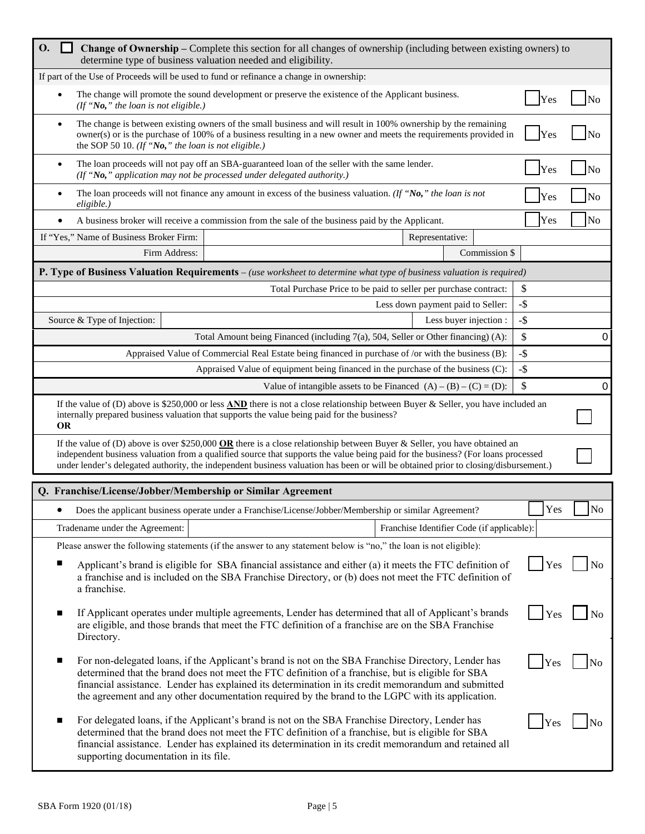| <b>O.</b><br>$\blacksquare$                                      | <b>Change of Ownership</b> – Complete this section for all changes of ownership (including between existing owners) to<br>determine type of business valuation needed and eligibility.                                                                                                                                                                                                                                |                                            |               |            |                |
|------------------------------------------------------------------|-----------------------------------------------------------------------------------------------------------------------------------------------------------------------------------------------------------------------------------------------------------------------------------------------------------------------------------------------------------------------------------------------------------------------|--------------------------------------------|---------------|------------|----------------|
|                                                                  | If part of the Use of Proceeds will be used to fund or refinance a change in ownership:                                                                                                                                                                                                                                                                                                                               |                                            |               |            |                |
| (If "No," the loan is not eligible.)                             | The change will promote the sound development or preserve the existence of the Applicant business.                                                                                                                                                                                                                                                                                                                    |                                            |               | Yes        |                |
| $\bullet$<br>the SOP 50 10. (If "No," the loan is not eligible.) | The change is between existing owners of the small business and will result in 100% ownership by the remaining<br>owner(s) or is the purchase of 100% of a business resulting in a new owner and meets the requirements provided in                                                                                                                                                                                   |                                            |               | Yes        | N <sub>0</sub> |
|                                                                  | The loan proceeds will not pay off an SBA-guaranteed loan of the seller with the same lender.<br>(If "No," application may not be processed under delegated authority.)                                                                                                                                                                                                                                               |                                            |               | Yes        | No             |
| eligible.)                                                       | The loan proceeds will not finance any amount in excess of the business valuation. (If "No," the loan is not                                                                                                                                                                                                                                                                                                          |                                            |               | Yes        | No             |
| $\bullet$                                                        | A business broker will receive a commission from the sale of the business paid by the Applicant.                                                                                                                                                                                                                                                                                                                      |                                            |               | Yes        | No             |
| If "Yes," Name of Business Broker Firm:                          |                                                                                                                                                                                                                                                                                                                                                                                                                       | Representative:                            |               |            |                |
| Firm Address:                                                    |                                                                                                                                                                                                                                                                                                                                                                                                                       |                                            | Commission \$ |            |                |
|                                                                  | <b>P. Type of Business Valuation Requirements</b> – (use worksheet to determine what type of business valuation is required)                                                                                                                                                                                                                                                                                          |                                            |               |            |                |
|                                                                  | Total Purchase Price to be paid to seller per purchase contract:                                                                                                                                                                                                                                                                                                                                                      |                                            |               | \$         |                |
|                                                                  |                                                                                                                                                                                                                                                                                                                                                                                                                       | Less down payment paid to Seller:          |               | $-$ \$     |                |
| Source & Type of Injection:                                      |                                                                                                                                                                                                                                                                                                                                                                                                                       | Less buyer injection :                     |               | $-$ \$     |                |
|                                                                  | Total Amount being Financed (including $7(a)$ , 504, Seller or Other financing) (A):                                                                                                                                                                                                                                                                                                                                  |                                            |               | \$         | 0              |
|                                                                  | Appraised Value of Commercial Real Estate being financed in purchase of /or with the business (B):                                                                                                                                                                                                                                                                                                                    |                                            |               | $-$ \$     |                |
|                                                                  | Appraised Value of equipment being financed in the purchase of the business (C):                                                                                                                                                                                                                                                                                                                                      |                                            |               | $-$ \$     |                |
|                                                                  | Value of intangible assets to be Financed $(A) - (B) - (C) = (D)$ :                                                                                                                                                                                                                                                                                                                                                   |                                            |               | \$         | 0              |
| <b>OR</b>                                                        | If the value of (D) above is \$250,000 or less <b>AND</b> there is not a close relationship between Buyer & Seller, you have included an<br>internally prepared business valuation that supports the value being paid for the business?                                                                                                                                                                               |                                            |               |            |                |
|                                                                  | If the value of (D) above is over \$250,000 OR there is a close relationship between Buyer & Seller, you have obtained an<br>independent business valuation from a qualified source that supports the value being paid for the business? (For loans processed<br>under lender's delegated authority, the independent business valuation has been or will be obtained prior to closing/disbursement.)                  |                                            |               |            |                |
| Q. Franchise/License/Jobber/Membership or Similar Agreement      |                                                                                                                                                                                                                                                                                                                                                                                                                       |                                            |               |            |                |
|                                                                  |                                                                                                                                                                                                                                                                                                                                                                                                                       |                                            |               | Yes        | No             |
|                                                                  | Does the applicant business operate under a Franchise/License/Jobber/Membership or similar Agreement?                                                                                                                                                                                                                                                                                                                 |                                            |               |            |                |
| Tradename under the Agreement:                                   |                                                                                                                                                                                                                                                                                                                                                                                                                       | Franchise Identifier Code (if applicable): |               |            |                |
| a franchise.                                                     | Please answer the following statements (if the answer to any statement below is "no," the loan is not eligible):<br>Applicant's brand is eligible for SBA financial assistance and either (a) it meets the FTC definition of<br>a franchise and is included on the SBA Franchise Directory, or (b) does not meet the FTC definition of                                                                                |                                            |               | Yes        | No             |
| п<br>Directory.                                                  | If Applicant operates under multiple agreements, Lender has determined that all of Applicant's brands<br>are eligible, and those brands that meet the FTC definition of a franchise are on the SBA Franchise                                                                                                                                                                                                          |                                            |               | Yes        |                |
| п                                                                | For non-delegated loans, if the Applicant's brand is not on the SBA Franchise Directory, Lender has<br>determined that the brand does not meet the FTC definition of a franchise, but is eligible for SBA<br>financial assistance. Lender has explained its determination in its credit memorandum and submitted<br>the agreement and any other documentation required by the brand to the LGPC with its application. |                                            |               | Yes        | No             |
| ■<br>supporting documentation in its file.                       | For delegated loans, if the Applicant's brand is not on the SBA Franchise Directory, Lender has<br>determined that the brand does not meet the FTC definition of a franchise, but is eligible for SBA<br>financial assistance. Lender has explained its determination in its credit memorandum and retained all                                                                                                       |                                            |               | <b>Yes</b> |                |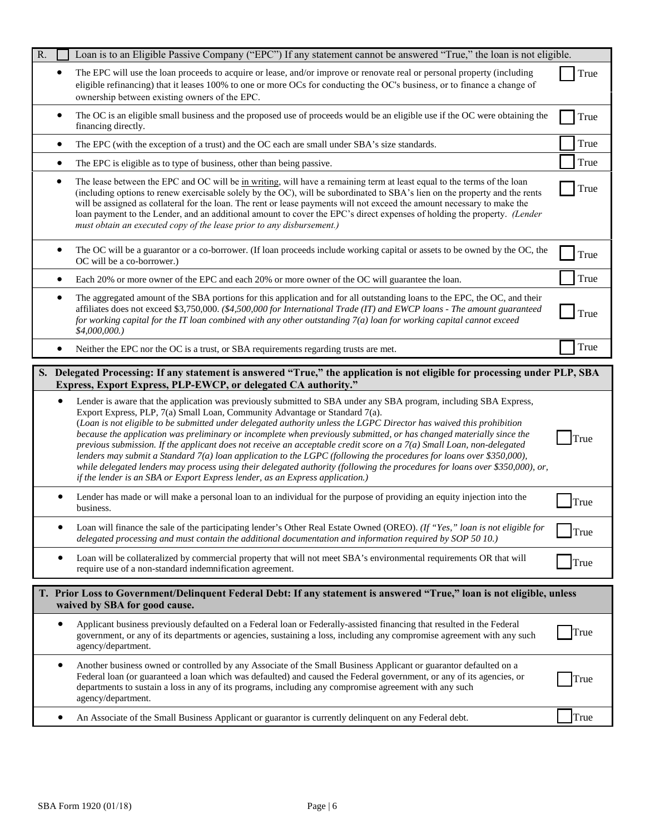| R. |   | Loan is to an Eligible Passive Company ("EPC") If any statement cannot be answered "True," the loan is not eligible.                                                                                                                                                                                                                                                                                                                                                                                                                                                                                                                                                                                                                                                                                                                                                                                                  |      |
|----|---|-----------------------------------------------------------------------------------------------------------------------------------------------------------------------------------------------------------------------------------------------------------------------------------------------------------------------------------------------------------------------------------------------------------------------------------------------------------------------------------------------------------------------------------------------------------------------------------------------------------------------------------------------------------------------------------------------------------------------------------------------------------------------------------------------------------------------------------------------------------------------------------------------------------------------|------|
|    |   | The EPC will use the loan proceeds to acquire or lease, and/or improve or renovate real or personal property (including<br>eligible refinancing) that it leases 100% to one or more OCs for conducting the OC's business, or to finance a change of<br>ownership between existing owners of the EPC.                                                                                                                                                                                                                                                                                                                                                                                                                                                                                                                                                                                                                  | True |
|    |   | The OC is an eligible small business and the proposed use of proceeds would be an eligible use if the OC were obtaining the<br>financing directly.                                                                                                                                                                                                                                                                                                                                                                                                                                                                                                                                                                                                                                                                                                                                                                    | True |
|    | ٠ | The EPC (with the exception of a trust) and the OC each are small under SBA's size standards.                                                                                                                                                                                                                                                                                                                                                                                                                                                                                                                                                                                                                                                                                                                                                                                                                         | True |
|    | ٠ | The EPC is eligible as to type of business, other than being passive.                                                                                                                                                                                                                                                                                                                                                                                                                                                                                                                                                                                                                                                                                                                                                                                                                                                 | True |
|    |   | The lease between the EPC and OC will be in writing, will have a remaining term at least equal to the terms of the loan<br>(including options to renew exercisable solely by the OC), will be subordinated to SBA's lien on the property and the rents<br>will be assigned as collateral for the loan. The rent or lease payments will not exceed the amount necessary to make the<br>loan payment to the Lender, and an additional amount to cover the EPC's direct expenses of holding the property. (Lender<br>must obtain an executed copy of the lease prior to any disbursement.)                                                                                                                                                                                                                                                                                                                               | True |
|    |   | The OC will be a guarantor or a co-borrower. (If loan proceeds include working capital or assets to be owned by the OC, the<br>OC will be a co-borrower.)                                                                                                                                                                                                                                                                                                                                                                                                                                                                                                                                                                                                                                                                                                                                                             | True |
|    |   | Each 20% or more owner of the EPC and each 20% or more owner of the OC will guarantee the loan.                                                                                                                                                                                                                                                                                                                                                                                                                                                                                                                                                                                                                                                                                                                                                                                                                       | True |
|    |   | The aggregated amount of the SBA portions for this application and for all outstanding loans to the EPC, the OC, and their<br>affiliates does not exceed \$3,750,000. (\$4,500,000 for International Trade (IT) and EWCP loans - The amount guaranteed<br>for working capital for the IT loan combined with any other outstanding 7(a) loan for working capital cannot exceed<br>$$4,000,000.$ )                                                                                                                                                                                                                                                                                                                                                                                                                                                                                                                      | True |
|    |   | Neither the EPC nor the OC is a trust, or SBA requirements regarding trusts are met.                                                                                                                                                                                                                                                                                                                                                                                                                                                                                                                                                                                                                                                                                                                                                                                                                                  | True |
|    |   | S. Delegated Processing: If any statement is answered "True," the application is not eligible for processing under PLP, SBA                                                                                                                                                                                                                                                                                                                                                                                                                                                                                                                                                                                                                                                                                                                                                                                           |      |
|    |   | Express, Export Express, PLP-EWCP, or delegated CA authority."                                                                                                                                                                                                                                                                                                                                                                                                                                                                                                                                                                                                                                                                                                                                                                                                                                                        |      |
|    |   | Lender is aware that the application was previously submitted to SBA under any SBA program, including SBA Express,<br>Export Express, PLP, 7(a) Small Loan, Community Advantage or Standard 7(a).<br>(Loan is not eligible to be submitted under delegated authority unless the LGPC Director has waived this prohibition<br>because the application was preliminary or incomplete when previously submitted, or has changed materially since the<br>previous submission. If the applicant does not receive an acceptable credit score on a $7(a)$ Small Loan, non-delegated<br>lenders may submit a Standard 7(a) loan application to the LGPC (following the procedures for loans over \$350,000),<br>while delegated lenders may process using their delegated authority (following the procedures for loans over \$350,000), or,<br>if the lender is an SBA or Export Express lender, as an Express application.) | True |
|    |   | Lender has made or will make a personal loan to an individual for the purpose of providing an equity injection into the<br>business.                                                                                                                                                                                                                                                                                                                                                                                                                                                                                                                                                                                                                                                                                                                                                                                  | True |
|    |   | Loan will finance the sale of the participating lender's Other Real Estate Owned (OREO). (If "Yes," loan is not eligible for<br>delegated processing and must contain the additional documentation and information required by SOP 50 10.)                                                                                                                                                                                                                                                                                                                                                                                                                                                                                                                                                                                                                                                                            | True |
|    |   | Loan will be collateralized by commercial property that will not meet SBA's environmental requirements OR that will<br>require use of a non-standard indemnification agreement.                                                                                                                                                                                                                                                                                                                                                                                                                                                                                                                                                                                                                                                                                                                                       | True |
|    |   | T. Prior Loss to Government/Delinquent Federal Debt: If any statement is answered "True," loan is not eligible, unless                                                                                                                                                                                                                                                                                                                                                                                                                                                                                                                                                                                                                                                                                                                                                                                                |      |
|    | ٠ | waived by SBA for good cause.<br>Applicant business previously defaulted on a Federal loan or Federally-assisted financing that resulted in the Federal<br>government, or any of its departments or agencies, sustaining a loss, including any compromise agreement with any such<br>agency/department.                                                                                                                                                                                                                                                                                                                                                                                                                                                                                                                                                                                                               | True |
|    | ٠ | Another business owned or controlled by any Associate of the Small Business Applicant or guarantor defaulted on a<br>Federal loan (or guaranteed a loan which was defaulted) and caused the Federal government, or any of its agencies, or<br>departments to sustain a loss in any of its programs, including any compromise agreement with any such<br>agency/department.                                                                                                                                                                                                                                                                                                                                                                                                                                                                                                                                            | True |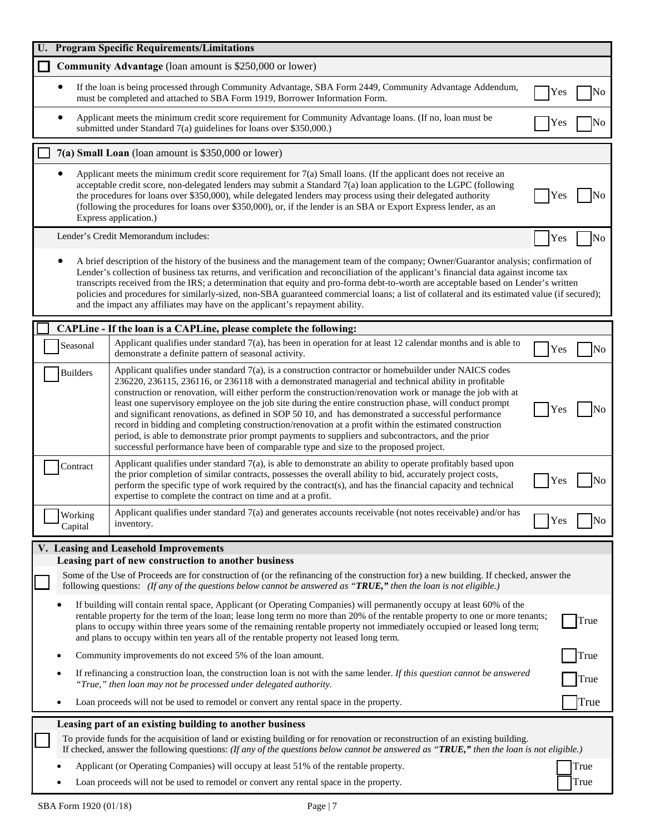|   |                    | <b>Program Specific Requirements/Limitations</b>                                                                                                                                                                                                                                                                                                                                                                                                                                                                                                                                                                                                                                                                                                                                                                                                             |              |      |
|---|--------------------|--------------------------------------------------------------------------------------------------------------------------------------------------------------------------------------------------------------------------------------------------------------------------------------------------------------------------------------------------------------------------------------------------------------------------------------------------------------------------------------------------------------------------------------------------------------------------------------------------------------------------------------------------------------------------------------------------------------------------------------------------------------------------------------------------------------------------------------------------------------|--------------|------|
|   |                    | <b>Community Advantage</b> (loan amount is \$250,000 or lower)                                                                                                                                                                                                                                                                                                                                                                                                                                                                                                                                                                                                                                                                                                                                                                                               |              |      |
|   |                    | If the loan is being processed through Community Advantage, SBA Form 2449, Community Advantage Addendum,<br>must be completed and attached to SBA Form 1919, Borrower Information Form.                                                                                                                                                                                                                                                                                                                                                                                                                                                                                                                                                                                                                                                                      | Yes          | No   |
|   |                    | Applicant meets the minimum credit score requirement for Community Advantage loans. (If no, loan must be<br>submitted under Standard 7(a) guidelines for loans over \$350,000.)                                                                                                                                                                                                                                                                                                                                                                                                                                                                                                                                                                                                                                                                              | Yes          | No   |
|   |                    | 7(a) Small Loan (loan amount is \$350,000 or lower)                                                                                                                                                                                                                                                                                                                                                                                                                                                                                                                                                                                                                                                                                                                                                                                                          |              |      |
|   |                    | Applicant meets the minimum credit score requirement for 7(a) Small loans. (If the applicant does not receive an<br>acceptable credit score, non-delegated lenders may submit a Standard 7(a) loan application to the LGPC (following<br>the procedures for loans over \$350,000), while delegated lenders may process using their delegated authority<br>(following the procedures for loans over \$350,000), or, if the lender is an SBA or Export Express lender, as an<br>Express application.)                                                                                                                                                                                                                                                                                                                                                          | <b>Yes</b>   |      |
|   |                    | Lender's Credit Memorandum includes:                                                                                                                                                                                                                                                                                                                                                                                                                                                                                                                                                                                                                                                                                                                                                                                                                         | Yes          | No   |
|   |                    | A brief description of the history of the business and the management team of the company; Owner/Guarantor analysis; confirmation of<br>Lender's collection of business tax returns, and verification and reconciliation of the applicant's financial data against income tax<br>transcripts received from the IRS; a determination that equity and pro-forma debt-to-worth are acceptable based on Lender's written<br>policies and procedures for similarly-sized, non-SBA guaranteed commercial loans; a list of collateral and its estimated value (if secured);<br>and the impact any affiliates may have on the applicant's repayment ability.                                                                                                                                                                                                         |              |      |
|   |                    | CAPLine - If the loan is a CAPLine, please complete the following:                                                                                                                                                                                                                                                                                                                                                                                                                                                                                                                                                                                                                                                                                                                                                                                           |              |      |
|   | Seasonal           | Applicant qualifies under standard $7(a)$ , has been in operation for at least 12 calendar months and is able to<br>demonstrate a definite pattern of seasonal activity.                                                                                                                                                                                                                                                                                                                                                                                                                                                                                                                                                                                                                                                                                     | $_{\rm Yes}$ | No   |
|   | <b>Builders</b>    | Applicant qualifies under standard $7(a)$ , is a construction contractor or homebuilder under NAICS codes<br>236220, 236115, 236116, or 236118 with a demonstrated managerial and technical ability in profitable<br>construction or renovation, will either perform the construction/renovation work or manage the job with at<br>least one supervisory employee on the job site during the entire construction phase, will conduct prompt<br>and significant renovations, as defined in SOP 50 10, and has demonstrated a successful performance<br>record in bidding and completing construction/renovation at a profit within the estimated construction<br>period, is able to demonstrate prior prompt payments to suppliers and subcontractors, and the prior<br>successful performance have been of comparable type and size to the proposed project. | Y es         |      |
|   | Contract           | Applicant qualifies under standard 7(a), is able to demonstrate an ability to operate profitably based upon<br>the prior completion of similar contracts, possesses the overall ability to bid, accurately project costs,<br>perform the specific type of work required by the contract(s), and has the financial capacity and technical<br>expertise to complete the contract on time and at a profit.                                                                                                                                                                                                                                                                                                                                                                                                                                                      | Yes          | No   |
|   | Working<br>Capital | Applicant qualifies under standard 7(a) and generates accounts receivable (not notes receivable) and/or has<br>inventory.                                                                                                                                                                                                                                                                                                                                                                                                                                                                                                                                                                                                                                                                                                                                    | Yes          | No   |
|   |                    | V. Leasing and Leasehold Improvements                                                                                                                                                                                                                                                                                                                                                                                                                                                                                                                                                                                                                                                                                                                                                                                                                        |              |      |
|   |                    | Leasing part of new construction to another business<br>Some of the Use of Proceeds are for construction of (or the refinancing of the construction for) a new building. If checked, answer the<br>following questions: (If any of the questions below cannot be answered as " <b>TRUE</b> ," then the loan is not eligible.)                                                                                                                                                                                                                                                                                                                                                                                                                                                                                                                                |              |      |
|   |                    | If building will contain rental space, Applicant (or Operating Companies) will permanently occupy at least 60% of the<br>rentable property for the term of the loan; lease long term no more than 20% of the rentable property to one or more tenants;<br>plans to occupy within three years some of the remaining rentable property not immediately occupied or leased long term;<br>and plans to occupy within ten years all of the rentable property not leased long term.                                                                                                                                                                                                                                                                                                                                                                                |              | True |
| ٠ |                    | Community improvements do not exceed 5% of the loan amount.                                                                                                                                                                                                                                                                                                                                                                                                                                                                                                                                                                                                                                                                                                                                                                                                  |              | True |
|   |                    | If refinancing a construction loan, the construction loan is not with the same lender. If this question cannot be answered<br>"True," then loan may not be processed under delegated authority.                                                                                                                                                                                                                                                                                                                                                                                                                                                                                                                                                                                                                                                              |              | True |
|   |                    | Loan proceeds will not be used to remodel or convert any rental space in the property.                                                                                                                                                                                                                                                                                                                                                                                                                                                                                                                                                                                                                                                                                                                                                                       |              | True |
|   |                    | Leasing part of an existing building to another business                                                                                                                                                                                                                                                                                                                                                                                                                                                                                                                                                                                                                                                                                                                                                                                                     |              |      |
|   |                    | To provide funds for the acquisition of land or existing building or for renovation or reconstruction of an existing building.<br>If checked, answer the following questions: (If any of the questions below cannot be answered as " $TRUE$ ," then the loan is not eligible.)                                                                                                                                                                                                                                                                                                                                                                                                                                                                                                                                                                               |              |      |
|   |                    | Applicant (or Operating Companies) will occupy at least 51% of the rentable property.                                                                                                                                                                                                                                                                                                                                                                                                                                                                                                                                                                                                                                                                                                                                                                        |              | True |
|   |                    | Loan proceeds will not be used to remodel or convert any rental space in the property.                                                                                                                                                                                                                                                                                                                                                                                                                                                                                                                                                                                                                                                                                                                                                                       |              | True |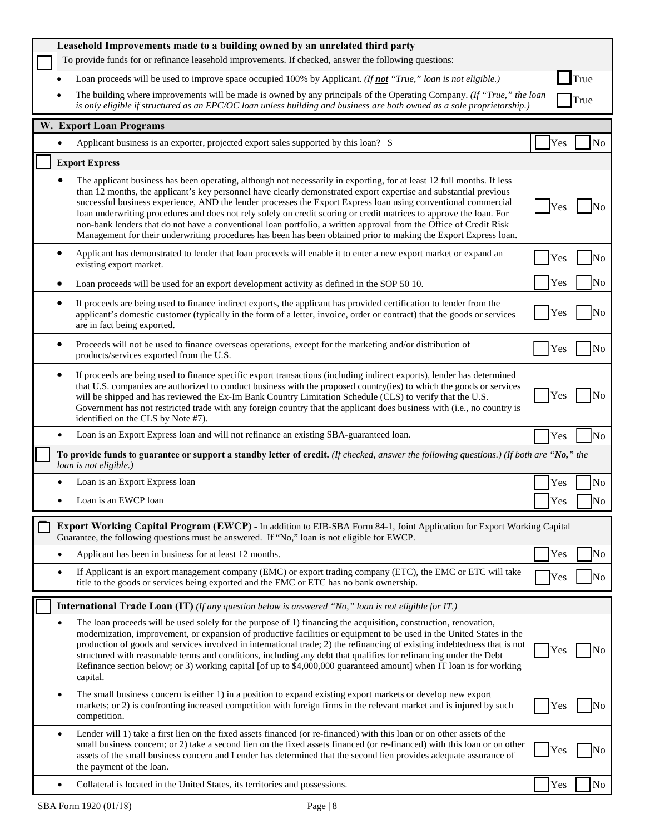|           | Leasehold Improvements made to a building owned by an unrelated third party                                                                                                                                                                                                                                                                                                                                                                                                                                                                                                                                                                                                                                                    |     |                |
|-----------|--------------------------------------------------------------------------------------------------------------------------------------------------------------------------------------------------------------------------------------------------------------------------------------------------------------------------------------------------------------------------------------------------------------------------------------------------------------------------------------------------------------------------------------------------------------------------------------------------------------------------------------------------------------------------------------------------------------------------------|-----|----------------|
|           | To provide funds for or refinance leasehold improvements. If checked, answer the following questions:                                                                                                                                                                                                                                                                                                                                                                                                                                                                                                                                                                                                                          |     |                |
|           | Loan proceeds will be used to improve space occupied 100% by Applicant. (If not "True," loan is not eligible.)                                                                                                                                                                                                                                                                                                                                                                                                                                                                                                                                                                                                                 |     | True           |
|           | The building where improvements will be made is owned by any principals of the Operating Company. (If "True," the loan<br>is only eligible if structured as an EPC/OC loan unless building and business are both owned as a sole proprietorship.)                                                                                                                                                                                                                                                                                                                                                                                                                                                                              |     | True           |
|           | W. Export Loan Programs                                                                                                                                                                                                                                                                                                                                                                                                                                                                                                                                                                                                                                                                                                        |     |                |
|           | Applicant business is an exporter, projected export sales supported by this loan? \$                                                                                                                                                                                                                                                                                                                                                                                                                                                                                                                                                                                                                                           | Yes | N <sub>0</sub> |
|           | <b>Export Express</b>                                                                                                                                                                                                                                                                                                                                                                                                                                                                                                                                                                                                                                                                                                          |     |                |
|           | The applicant business has been operating, although not necessarily in exporting, for at least 12 full months. If less<br>than 12 months, the applicant's key personnel have clearly demonstrated export expertise and substantial previous<br>successful business experience, AND the lender processes the Export Express loan using conventional commercial<br>loan underwriting procedures and does not rely solely on credit scoring or credit matrices to approve the loan. For<br>non-bank lenders that do not have a conventional loan portfolio, a written approval from the Office of Credit Risk<br>Management for their underwriting procedures has been has been obtained prior to making the Export Express loan. | Yes |                |
|           | Applicant has demonstrated to lender that loan proceeds will enable it to enter a new export market or expand an<br>existing export market.                                                                                                                                                                                                                                                                                                                                                                                                                                                                                                                                                                                    | Yes | No             |
|           | Loan proceeds will be used for an export development activity as defined in the SOP 50 10.                                                                                                                                                                                                                                                                                                                                                                                                                                                                                                                                                                                                                                     | Yes | No             |
|           | If proceeds are being used to finance indirect exports, the applicant has provided certification to lender from the<br>applicant's domestic customer (typically in the form of a letter, invoice, order or contract) that the goods or services<br>are in fact being exported.                                                                                                                                                                                                                                                                                                                                                                                                                                                 | Yes | No             |
|           | Proceeds will not be used to finance overseas operations, except for the marketing and/or distribution of<br>products/services exported from the U.S.                                                                                                                                                                                                                                                                                                                                                                                                                                                                                                                                                                          | Yes | No             |
|           | If proceeds are being used to finance specific export transactions (including indirect exports), lender has determined<br>that U.S. companies are authorized to conduct business with the proposed country(ies) to which the goods or services<br>will be shipped and has reviewed the Ex-Im Bank Country Limitation Schedule (CLS) to verify that the U.S.<br>Government has not restricted trade with any foreign country that the applicant does business with (i.e., no country is<br>identified on the CLS by Note #7).                                                                                                                                                                                                   | Yes | Nο             |
|           | Loan is an Export Express loan and will not refinance an existing SBA-guaranteed loan.                                                                                                                                                                                                                                                                                                                                                                                                                                                                                                                                                                                                                                         | Yes | No             |
|           | To provide funds to guarantee or support a standby letter of credit. (If checked, answer the following questions.) (If both are "No," the<br>loan is not eligible.)                                                                                                                                                                                                                                                                                                                                                                                                                                                                                                                                                            |     |                |
|           | Loan is an Export Express loan                                                                                                                                                                                                                                                                                                                                                                                                                                                                                                                                                                                                                                                                                                 | Yes | No             |
| $\bullet$ | Loan is an EWCP loan                                                                                                                                                                                                                                                                                                                                                                                                                                                                                                                                                                                                                                                                                                           | Yes | No             |
|           | Export Working Capital Program (EWCP) - In addition to EIB-SBA Form 84-1, Joint Application for Export Working Capital<br>Guarantee, the following questions must be answered. If "No," loan is not eligible for EWCP.                                                                                                                                                                                                                                                                                                                                                                                                                                                                                                         |     |                |
|           | Applicant has been in business for at least 12 months.                                                                                                                                                                                                                                                                                                                                                                                                                                                                                                                                                                                                                                                                         | Yes | No             |
|           | If Applicant is an export management company (EMC) or export trading company (ETC), the EMC or ETC will take<br>title to the goods or services being exported and the EMC or ETC has no bank ownership.                                                                                                                                                                                                                                                                                                                                                                                                                                                                                                                        | Yes | No             |
|           | <b>International Trade Loan (IT)</b> (If any question below is answered "No," loan is not eligible for IT.)                                                                                                                                                                                                                                                                                                                                                                                                                                                                                                                                                                                                                    |     |                |
|           | The loan proceeds will be used solely for the purpose of 1) financing the acquisition, construction, renovation,<br>modernization, improvement, or expansion of productive facilities or equipment to be used in the United States in the<br>production of goods and services involved in international trade; 2) the refinancing of existing indebtedness that is not<br>structured with reasonable terms and conditions, including any debt that qualifies for refinancing under the Debt<br>Refinance section below; or 3) working capital [of up to \$4,000,000 guaranteed amount] when IT loan is for working<br>capital.                                                                                                 | Yes | No             |
| ٠         | The small business concern is either 1) in a position to expand existing export markets or develop new export<br>markets; or 2) is confronting increased competition with foreign firms in the relevant market and is injured by such<br>competition.                                                                                                                                                                                                                                                                                                                                                                                                                                                                          | Yes | No             |
| ٠         | Lender will 1) take a first lien on the fixed assets financed (or re-financed) with this loan or on other assets of the<br>small business concern; or 2) take a second lien on the fixed assets financed (or re-financed) with this loan or on other<br>assets of the small business concern and Lender has determined that the second lien provides adequate assurance of<br>the payment of the loan.                                                                                                                                                                                                                                                                                                                         | Yes | No             |
|           | Collateral is located in the United States, its territories and possessions.                                                                                                                                                                                                                                                                                                                                                                                                                                                                                                                                                                                                                                                   | Yes | No             |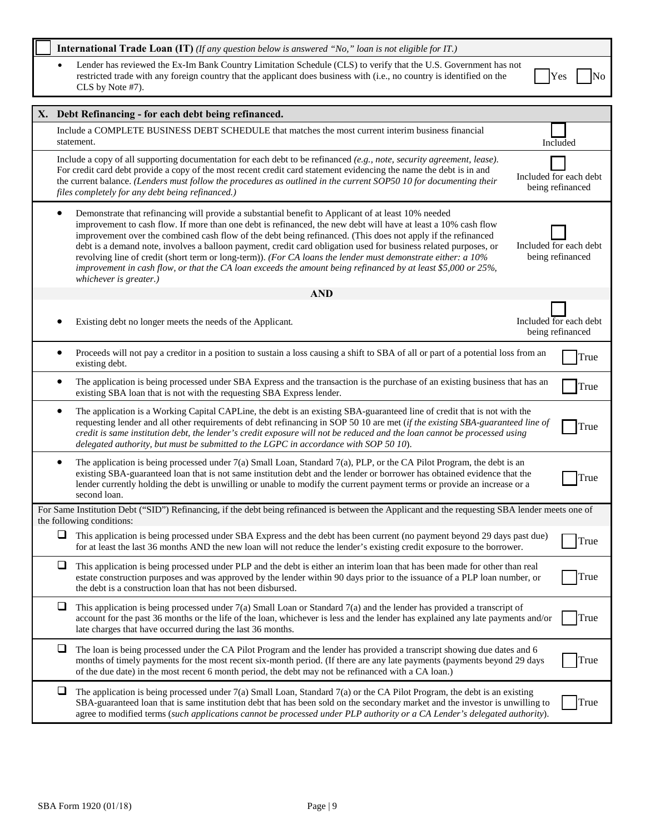| <b>International Trade Loan (IT)</b> (If any question below is answered "No," loan is not eligible for $IT$ .)                                                                                                                                                                                                                                                                                                                                                                                                                                                                                                                                                                                                                    |                                            |
|-----------------------------------------------------------------------------------------------------------------------------------------------------------------------------------------------------------------------------------------------------------------------------------------------------------------------------------------------------------------------------------------------------------------------------------------------------------------------------------------------------------------------------------------------------------------------------------------------------------------------------------------------------------------------------------------------------------------------------------|--------------------------------------------|
| Lender has reviewed the Ex-Im Bank Country Limitation Schedule (CLS) to verify that the U.S. Government has not<br>restricted trade with any foreign country that the applicant does business with (i.e., no country is identified on the<br>CLS by Note #7).                                                                                                                                                                                                                                                                                                                                                                                                                                                                     | Yes<br>No                                  |
| X. Debt Refinancing - for each debt being refinanced.                                                                                                                                                                                                                                                                                                                                                                                                                                                                                                                                                                                                                                                                             |                                            |
| Include a COMPLETE BUSINESS DEBT SCHEDULE that matches the most current interim business financial<br>statement.                                                                                                                                                                                                                                                                                                                                                                                                                                                                                                                                                                                                                  | Included                                   |
| Include a copy of all supporting documentation for each debt to be refinanced $(e.g., note, security agreement, lease)$ .<br>For credit card debt provide a copy of the most recent credit card statement evidencing the name the debt is in and<br>the current balance. (Lenders must follow the procedures as outlined in the current SOP50 10 for documenting their<br>files completely for any debt being refinanced.)                                                                                                                                                                                                                                                                                                        | Included for each debt<br>being refinanced |
| Demonstrate that refinancing will provide a substantial benefit to Applicant of at least 10% needed<br>$\bullet$<br>improvement to cash flow. If more than one debt is refinanced, the new debt will have at least a 10% cash flow<br>improvement over the combined cash flow of the debt being refinanced. (This does not apply if the refinanced<br>debt is a demand note, involves a balloon payment, credit card obligation used for business related purposes, or<br>revolving line of credit (short term or long-term)). (For CA loans the lender must demonstrate either: a 10%<br>improvement in cash flow, or that the CA loan exceeds the amount being refinanced by at least \$5,000 or 25%,<br>whichever is greater.) | Included for each debt<br>being refinanced |
| <b>AND</b>                                                                                                                                                                                                                                                                                                                                                                                                                                                                                                                                                                                                                                                                                                                        |                                            |
| Existing debt no longer meets the needs of the Applicant.                                                                                                                                                                                                                                                                                                                                                                                                                                                                                                                                                                                                                                                                         | Included for each debt<br>being refinanced |
| Proceeds will not pay a creditor in a position to sustain a loss causing a shift to SBA of all or part of a potential loss from an<br>٠<br>existing debt.                                                                                                                                                                                                                                                                                                                                                                                                                                                                                                                                                                         | True                                       |
| The application is being processed under SBA Express and the transaction is the purchase of an existing business that has an<br>existing SBA loan that is not with the requesting SBA Express lender.                                                                                                                                                                                                                                                                                                                                                                                                                                                                                                                             | True                                       |
| The application is a Working Capital CAPLine, the debt is an existing SBA-guaranteed line of credit that is not with the<br>$\bullet$<br>requesting lender and all other requirements of debt refinancing in SOP 50 10 are met (if the existing SBA-guaranteed line of<br>credit is same institution debt, the lender's credit exposure will not be reduced and the loan cannot be processed using<br>delegated authority, but must be submitted to the LGPC in accordance with SOP 50 10).                                                                                                                                                                                                                                       | True                                       |
| The application is being processed under 7(a) Small Loan, Standard 7(a), PLP, or the CA Pilot Program, the debt is an<br>$\bullet$<br>existing SBA-guaranteed loan that is not same institution debt and the lender or borrower has obtained evidence that the<br>lender currently holding the debt is unwilling or unable to modify the current payment terms or provide an increase or a<br>second loan.                                                                                                                                                                                                                                                                                                                        | True                                       |
| For Same Institution Debt ("SID") Refinancing, if the debt being refinanced is between the Applicant and the requesting SBA lender meets one of<br>the following conditions:                                                                                                                                                                                                                                                                                                                                                                                                                                                                                                                                                      |                                            |
| ❏<br>This application is being processed under SBA Express and the debt has been current (no payment beyond 29 days past due)<br>for at least the last 36 months AND the new loan will not reduce the lender's existing credit exposure to the borrower.                                                                                                                                                                                                                                                                                                                                                                                                                                                                          | True                                       |
| ❏<br>This application is being processed under PLP and the debt is either an interim loan that has been made for other than real<br>estate construction purposes and was approved by the lender within 90 days prior to the issuance of a PLP loan number, or<br>the debt is a construction loan that has not been disbursed.                                                                                                                                                                                                                                                                                                                                                                                                     | True                                       |
| ❏<br>This application is being processed under $7(a)$ Small Loan or Standard $7(a)$ and the lender has provided a transcript of<br>account for the past 36 months or the life of the loan, whichever is less and the lender has explained any late payments and/or<br>late charges that have occurred during the last 36 months.                                                                                                                                                                                                                                                                                                                                                                                                  | True                                       |
| ⊔<br>The loan is being processed under the CA Pilot Program and the lender has provided a transcript showing due dates and 6<br>months of timely payments for the most recent six-month period. (If there are any late payments (payments beyond 29 days<br>of the due date) in the most recent 6 month period, the debt may not be refinanced with a CA loan.)                                                                                                                                                                                                                                                                                                                                                                   | True                                       |
| ⊔<br>The application is being processed under $7(a)$ Small Loan, Standard $7(a)$ or the CA Pilot Program, the debt is an existing<br>SBA-guaranteed loan that is same institution debt that has been sold on the secondary market and the investor is unwilling to<br>agree to modified terms (such applications cannot be processed under PLP authority or a CA Lender's delegated authority).                                                                                                                                                                                                                                                                                                                                   | True                                       |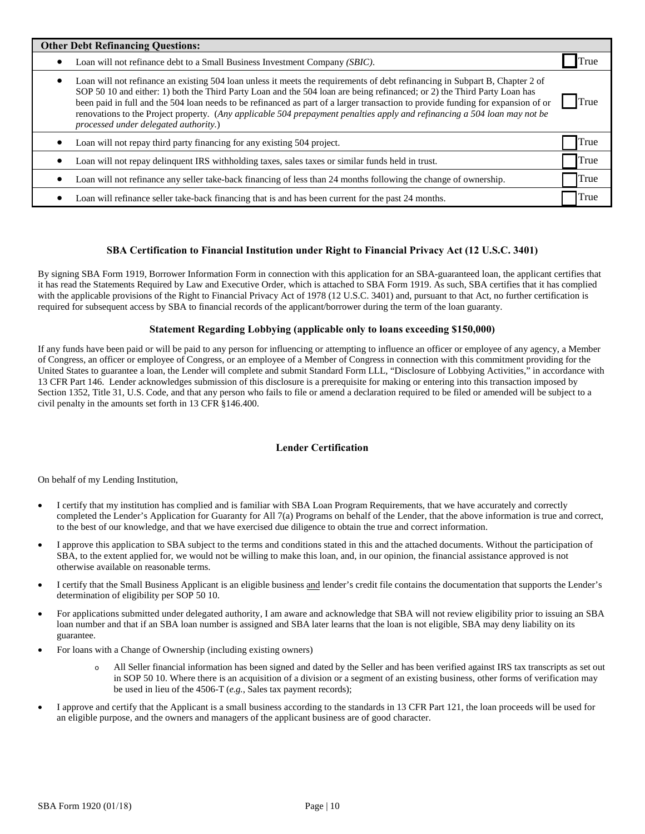| <b>Other Debt Refinancing Questions:</b>                                                                                                                                                                                                                                                                                                                                                                                                                                                                                                                                |      |  |  |  |
|-------------------------------------------------------------------------------------------------------------------------------------------------------------------------------------------------------------------------------------------------------------------------------------------------------------------------------------------------------------------------------------------------------------------------------------------------------------------------------------------------------------------------------------------------------------------------|------|--|--|--|
| Loan will not refinance debt to a Small Business Investment Company (SBIC).<br>٠                                                                                                                                                                                                                                                                                                                                                                                                                                                                                        | True |  |  |  |
| Loan will not refinance an existing 504 loan unless it meets the requirements of debt refinancing in Subpart B, Chapter 2 of<br>٠<br>SOP 50 10 and either: 1) both the Third Party Loan and the 504 loan are being refinanced; or 2) the Third Party Loan has<br>been paid in full and the 504 loan needs to be refinanced as part of a larger transaction to provide funding for expansion of or<br>renovations to the Project property. (Any applicable 504 prepayment penalties apply and refinancing a 504 loan may not be<br>processed under delegated authority.) | True |  |  |  |
| Loan will not repay third party financing for any existing 504 project.                                                                                                                                                                                                                                                                                                                                                                                                                                                                                                 | True |  |  |  |
| Loan will not repay delinquent IRS withholding taxes, sales taxes or similar funds held in trust.                                                                                                                                                                                                                                                                                                                                                                                                                                                                       | True |  |  |  |
| Loan will not refinance any seller take-back financing of less than 24 months following the change of ownership.<br>٠                                                                                                                                                                                                                                                                                                                                                                                                                                                   | True |  |  |  |
| Loan will refinance seller take-back financing that is and has been current for the past 24 months.<br>٠                                                                                                                                                                                                                                                                                                                                                                                                                                                                | True |  |  |  |

## **SBA Certification to Financial Institution under Right to Financial Privacy Act (12 U.S.C. 3401)**

By signing SBA Form 1919, Borrower Information Form in connection with this application for an SBA-guaranteed loan, the applicant certifies that it has read the Statements Required by Law and Executive Order, which is attached to SBA Form 1919. As such, SBA certifies that it has complied with the applicable provisions of the Right to Financial Privacy Act of 1978 (12 U.S.C. 3401) and, pursuant to that Act, no further certification is required for subsequent access by SBA to financial records of the applicant/borrower during the term of the loan guaranty.

## **Statement Regarding Lobbying (applicable only to loans exceeding \$150,000)**

If any funds have been paid or will be paid to any person for influencing or attempting to influence an officer or employee of any agency, a Member of Congress, an officer or employee of Congress, or an employee of a Member of Congress in connection with this commitment providing for the United States to guarantee a loan, the Lender will complete and submit Standard Form LLL, "Disclosure of Lobbying Activities," in accordance with 13 CFR Part 146. Lender acknowledges submission of this disclosure is a prerequisite for making or entering into this transaction imposed by Section 1352, Title 31, U.S. Code, and that any person who fails to file or amend a declaration required to be filed or amended will be subject to a civil penalty in the amounts set forth in 13 CFR §146.400.

### **Lender Certification**

On behalf of my Lending Institution,

- I certify that my institution has complied and is familiar with SBA Loan Program Requirements, that we have accurately and correctly completed the Lender's Application for Guaranty for All 7(a) Programs on behalf of the Lender, that the above information is true and correct, to the best of our knowledge, and that we have exercised due diligence to obtain the true and correct information.
- I approve this application to SBA subject to the terms and conditions stated in this and the attached documents. Without the participation of SBA, to the extent applied for, we would not be willing to make this loan, and, in our opinion, the financial assistance approved is not otherwise available on reasonable terms.
- I certify that the Small Business Applicant is an eligible business and lender's credit file contains the documentation that supports the Lender's determination of eligibility per SOP 50 10.
- For applications submitted under delegated authority, I am aware and acknowledge that SBA will not review eligibility prior to issuing an SBA loan number and that if an SBA loan number is assigned and SBA later learns that the loan is not eligible, SBA may deny liability on its guarantee.
- For loans with a Change of Ownership (including existing owners)
	- o All Seller financial information has been signed and dated by the Seller and has been verified against IRS tax transcripts as set out in SOP 50 10. Where there is an acquisition of a division or a segment of an existing business, other forms of verification may be used in lieu of the 4506-T (*e.g.*, Sales tax payment records);
- I approve and certify that the Applicant is a small business according to the standards in 13 CFR Part 121, the loan proceeds will be used for an eligible purpose, and the owners and managers of the applicant business are of good character.